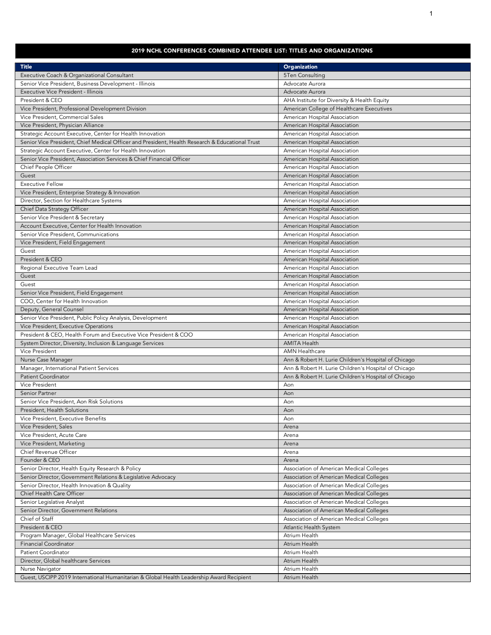## 2019 NCHL CONFERENCES COMBINED ATTENDEE LIST: TITLES AND ORGANIZATIONS

| Executive Coach & Organizational Consultant<br>5Ten Consulting<br>Advocate Aurora<br>Senior Vice President, Business Development - Illinois<br>Executive Vice President - Illinois<br>Advocate Aurora<br>President & CEO<br>AHA Institute for Diversity & Health Equity<br>American College of Healthcare Executives<br>Vice President, Professional Development Division<br>Vice President, Commercial Sales<br>American Hospital Association<br>Vice President, Physician Alliance<br>American Hospital Association<br>Strategic Account Executive, Center for Health Innovation<br>American Hospital Association<br>Senior Vice President, Chief Medical Officer and President, Health Research & Educational Trust<br>American Hospital Association<br>Strategic Account Executive, Center for Health Innovation<br>American Hospital Association<br>Senior Vice President, Association Services & Chief Financial Officer<br>American Hospital Association<br>Chief People Officer<br>American Hospital Association<br>Guest<br>American Hospital Association<br><b>Executive Fellow</b><br>American Hospital Association<br>Vice President, Enterprise Strategy & Innovation<br>American Hospital Association<br>Director, Section for Healthcare Systems<br>American Hospital Association<br>Chief Data Strategy Officer<br>American Hospital Association<br>Senior Vice President & Secretary<br>American Hospital Association<br>Account Executive, Center for Health Innovation<br>American Hospital Association<br>Senior Vice President, Communications<br>American Hospital Association<br>Vice President, Field Engagement<br>American Hospital Association<br>American Hospital Association<br>Guest<br>President & CEO<br>American Hospital Association<br>Regional Executive Team Lead<br>American Hospital Association<br>Guest<br>American Hospital Association<br>American Hospital Association<br>Guest<br>Senior Vice President, Field Engagement<br>American Hospital Association<br>COO, Center for Health Innovation<br>American Hospital Association<br>Deputy, General Counsel<br>American Hospital Association<br>Senior Vice President, Public Policy Analysis, Development<br>American Hospital Association<br>Vice President, Executive Operations<br>American Hospital Association<br>President & CEO, Health Forum and Executive Vice President & COO<br>American Hospital Association<br><b>AMITA Health</b><br>System Director, Diversity, Inclusion & Language Services<br>Vice President<br><b>AMN Healthcare</b><br>Nurse Case Manager<br>Ann & Robert H. Lurie Children's Hospital of Chicago<br>Ann & Robert H. Lurie Children's Hospital of Chicago<br>Manager, International Patient Services<br><b>Patient Coordinator</b><br>Ann & Robert H. Lurie Children's Hospital of Chicago<br>Vice President<br>Aon<br>Senior Partner<br>Aon<br>Senior Vice President, Aon Risk Solutions<br>Aon<br>President, Health Solutions<br>Aon<br>Vice President, Executive Benefits<br>Aon<br>Vice President, Sales<br>Arena<br>Vice President, Acute Care<br>Arena<br>Vice President, Marketing<br>Arena<br>Chief Revenue Officer<br>Arena<br>Founder & CEO<br>Arena<br>Senior Director, Health Equity Research & Policy<br>Association of American Medical Colleges<br>Senior Director, Government Relations & Legislative Advocacy<br>Association of American Medical Colleges<br>Senior Director, Health Innovation & Quality<br>Association of American Medical Colleges<br>Chief Health Care Officer<br>Association of American Medical Colleges<br>Senior Legislative Analyst<br>Association of American Medical Colleges<br>Senior Director, Government Relations<br>Association of American Medical Colleges<br>Chief of Staff<br>Association of American Medical Colleges<br>President & CEO<br>Atlantic Health System<br>Program Manager, Global Healthcare Services<br>Atrium Health<br><b>Financial Coordinator</b><br>Atrium Health<br>Patient Coordinator<br>Atrium Health<br>Director, Global healthcare Services<br>Atrium Health | <b>Title</b>    | <b>Organization</b> |
|--------------------------------------------------------------------------------------------------------------------------------------------------------------------------------------------------------------------------------------------------------------------------------------------------------------------------------------------------------------------------------------------------------------------------------------------------------------------------------------------------------------------------------------------------------------------------------------------------------------------------------------------------------------------------------------------------------------------------------------------------------------------------------------------------------------------------------------------------------------------------------------------------------------------------------------------------------------------------------------------------------------------------------------------------------------------------------------------------------------------------------------------------------------------------------------------------------------------------------------------------------------------------------------------------------------------------------------------------------------------------------------------------------------------------------------------------------------------------------------------------------------------------------------------------------------------------------------------------------------------------------------------------------------------------------------------------------------------------------------------------------------------------------------------------------------------------------------------------------------------------------------------------------------------------------------------------------------------------------------------------------------------------------------------------------------------------------------------------------------------------------------------------------------------------------------------------------------------------------------------------------------------------------------------------------------------------------------------------------------------------------------------------------------------------------------------------------------------------------------------------------------------------------------------------------------------------------------------------------------------------------------------------------------------------------------------------------------------------------------------------------------------------------------------------------------------------------------------------------------------------------------------------------------------------------------------------------------------------------------------------------------------------------------------------------------------------------------------------------------------------------------------------------------------------------------------------------------------------------------------------------------------------------------------------------------------------------------------------------------------------------------------------------------------------------------------------------------------------------------------------------------------------------------------------------------------------------------------------------------------------------------------------------------------------------------------------------------------------------------------------------------------------------------------------------------------------------------------------------------------------------------------------------------------------------------------------------------------------------------------------------------------------------------------------------------------------------|-----------------|---------------------|
|                                                                                                                                                                                                                                                                                                                                                                                                                                                                                                                                                                                                                                                                                                                                                                                                                                                                                                                                                                                                                                                                                                                                                                                                                                                                                                                                                                                                                                                                                                                                                                                                                                                                                                                                                                                                                                                                                                                                                                                                                                                                                                                                                                                                                                                                                                                                                                                                                                                                                                                                                                                                                                                                                                                                                                                                                                                                                                                                                                                                                                                                                                                                                                                                                                                                                                                                                                                                                                                                                                                                                                                                                                                                                                                                                                                                                                                                                                                                                                                                                                                                                |                 |                     |
|                                                                                                                                                                                                                                                                                                                                                                                                                                                                                                                                                                                                                                                                                                                                                                                                                                                                                                                                                                                                                                                                                                                                                                                                                                                                                                                                                                                                                                                                                                                                                                                                                                                                                                                                                                                                                                                                                                                                                                                                                                                                                                                                                                                                                                                                                                                                                                                                                                                                                                                                                                                                                                                                                                                                                                                                                                                                                                                                                                                                                                                                                                                                                                                                                                                                                                                                                                                                                                                                                                                                                                                                                                                                                                                                                                                                                                                                                                                                                                                                                                                                                |                 |                     |
|                                                                                                                                                                                                                                                                                                                                                                                                                                                                                                                                                                                                                                                                                                                                                                                                                                                                                                                                                                                                                                                                                                                                                                                                                                                                                                                                                                                                                                                                                                                                                                                                                                                                                                                                                                                                                                                                                                                                                                                                                                                                                                                                                                                                                                                                                                                                                                                                                                                                                                                                                                                                                                                                                                                                                                                                                                                                                                                                                                                                                                                                                                                                                                                                                                                                                                                                                                                                                                                                                                                                                                                                                                                                                                                                                                                                                                                                                                                                                                                                                                                                                |                 |                     |
|                                                                                                                                                                                                                                                                                                                                                                                                                                                                                                                                                                                                                                                                                                                                                                                                                                                                                                                                                                                                                                                                                                                                                                                                                                                                                                                                                                                                                                                                                                                                                                                                                                                                                                                                                                                                                                                                                                                                                                                                                                                                                                                                                                                                                                                                                                                                                                                                                                                                                                                                                                                                                                                                                                                                                                                                                                                                                                                                                                                                                                                                                                                                                                                                                                                                                                                                                                                                                                                                                                                                                                                                                                                                                                                                                                                                                                                                                                                                                                                                                                                                                |                 |                     |
|                                                                                                                                                                                                                                                                                                                                                                                                                                                                                                                                                                                                                                                                                                                                                                                                                                                                                                                                                                                                                                                                                                                                                                                                                                                                                                                                                                                                                                                                                                                                                                                                                                                                                                                                                                                                                                                                                                                                                                                                                                                                                                                                                                                                                                                                                                                                                                                                                                                                                                                                                                                                                                                                                                                                                                                                                                                                                                                                                                                                                                                                                                                                                                                                                                                                                                                                                                                                                                                                                                                                                                                                                                                                                                                                                                                                                                                                                                                                                                                                                                                                                |                 |                     |
|                                                                                                                                                                                                                                                                                                                                                                                                                                                                                                                                                                                                                                                                                                                                                                                                                                                                                                                                                                                                                                                                                                                                                                                                                                                                                                                                                                                                                                                                                                                                                                                                                                                                                                                                                                                                                                                                                                                                                                                                                                                                                                                                                                                                                                                                                                                                                                                                                                                                                                                                                                                                                                                                                                                                                                                                                                                                                                                                                                                                                                                                                                                                                                                                                                                                                                                                                                                                                                                                                                                                                                                                                                                                                                                                                                                                                                                                                                                                                                                                                                                                                |                 |                     |
|                                                                                                                                                                                                                                                                                                                                                                                                                                                                                                                                                                                                                                                                                                                                                                                                                                                                                                                                                                                                                                                                                                                                                                                                                                                                                                                                                                                                                                                                                                                                                                                                                                                                                                                                                                                                                                                                                                                                                                                                                                                                                                                                                                                                                                                                                                                                                                                                                                                                                                                                                                                                                                                                                                                                                                                                                                                                                                                                                                                                                                                                                                                                                                                                                                                                                                                                                                                                                                                                                                                                                                                                                                                                                                                                                                                                                                                                                                                                                                                                                                                                                |                 |                     |
|                                                                                                                                                                                                                                                                                                                                                                                                                                                                                                                                                                                                                                                                                                                                                                                                                                                                                                                                                                                                                                                                                                                                                                                                                                                                                                                                                                                                                                                                                                                                                                                                                                                                                                                                                                                                                                                                                                                                                                                                                                                                                                                                                                                                                                                                                                                                                                                                                                                                                                                                                                                                                                                                                                                                                                                                                                                                                                                                                                                                                                                                                                                                                                                                                                                                                                                                                                                                                                                                                                                                                                                                                                                                                                                                                                                                                                                                                                                                                                                                                                                                                |                 |                     |
|                                                                                                                                                                                                                                                                                                                                                                                                                                                                                                                                                                                                                                                                                                                                                                                                                                                                                                                                                                                                                                                                                                                                                                                                                                                                                                                                                                                                                                                                                                                                                                                                                                                                                                                                                                                                                                                                                                                                                                                                                                                                                                                                                                                                                                                                                                                                                                                                                                                                                                                                                                                                                                                                                                                                                                                                                                                                                                                                                                                                                                                                                                                                                                                                                                                                                                                                                                                                                                                                                                                                                                                                                                                                                                                                                                                                                                                                                                                                                                                                                                                                                |                 |                     |
|                                                                                                                                                                                                                                                                                                                                                                                                                                                                                                                                                                                                                                                                                                                                                                                                                                                                                                                                                                                                                                                                                                                                                                                                                                                                                                                                                                                                                                                                                                                                                                                                                                                                                                                                                                                                                                                                                                                                                                                                                                                                                                                                                                                                                                                                                                                                                                                                                                                                                                                                                                                                                                                                                                                                                                                                                                                                                                                                                                                                                                                                                                                                                                                                                                                                                                                                                                                                                                                                                                                                                                                                                                                                                                                                                                                                                                                                                                                                                                                                                                                                                |                 |                     |
|                                                                                                                                                                                                                                                                                                                                                                                                                                                                                                                                                                                                                                                                                                                                                                                                                                                                                                                                                                                                                                                                                                                                                                                                                                                                                                                                                                                                                                                                                                                                                                                                                                                                                                                                                                                                                                                                                                                                                                                                                                                                                                                                                                                                                                                                                                                                                                                                                                                                                                                                                                                                                                                                                                                                                                                                                                                                                                                                                                                                                                                                                                                                                                                                                                                                                                                                                                                                                                                                                                                                                                                                                                                                                                                                                                                                                                                                                                                                                                                                                                                                                |                 |                     |
|                                                                                                                                                                                                                                                                                                                                                                                                                                                                                                                                                                                                                                                                                                                                                                                                                                                                                                                                                                                                                                                                                                                                                                                                                                                                                                                                                                                                                                                                                                                                                                                                                                                                                                                                                                                                                                                                                                                                                                                                                                                                                                                                                                                                                                                                                                                                                                                                                                                                                                                                                                                                                                                                                                                                                                                                                                                                                                                                                                                                                                                                                                                                                                                                                                                                                                                                                                                                                                                                                                                                                                                                                                                                                                                                                                                                                                                                                                                                                                                                                                                                                |                 |                     |
|                                                                                                                                                                                                                                                                                                                                                                                                                                                                                                                                                                                                                                                                                                                                                                                                                                                                                                                                                                                                                                                                                                                                                                                                                                                                                                                                                                                                                                                                                                                                                                                                                                                                                                                                                                                                                                                                                                                                                                                                                                                                                                                                                                                                                                                                                                                                                                                                                                                                                                                                                                                                                                                                                                                                                                                                                                                                                                                                                                                                                                                                                                                                                                                                                                                                                                                                                                                                                                                                                                                                                                                                                                                                                                                                                                                                                                                                                                                                                                                                                                                                                |                 |                     |
|                                                                                                                                                                                                                                                                                                                                                                                                                                                                                                                                                                                                                                                                                                                                                                                                                                                                                                                                                                                                                                                                                                                                                                                                                                                                                                                                                                                                                                                                                                                                                                                                                                                                                                                                                                                                                                                                                                                                                                                                                                                                                                                                                                                                                                                                                                                                                                                                                                                                                                                                                                                                                                                                                                                                                                                                                                                                                                                                                                                                                                                                                                                                                                                                                                                                                                                                                                                                                                                                                                                                                                                                                                                                                                                                                                                                                                                                                                                                                                                                                                                                                |                 |                     |
|                                                                                                                                                                                                                                                                                                                                                                                                                                                                                                                                                                                                                                                                                                                                                                                                                                                                                                                                                                                                                                                                                                                                                                                                                                                                                                                                                                                                                                                                                                                                                                                                                                                                                                                                                                                                                                                                                                                                                                                                                                                                                                                                                                                                                                                                                                                                                                                                                                                                                                                                                                                                                                                                                                                                                                                                                                                                                                                                                                                                                                                                                                                                                                                                                                                                                                                                                                                                                                                                                                                                                                                                                                                                                                                                                                                                                                                                                                                                                                                                                                                                                |                 |                     |
|                                                                                                                                                                                                                                                                                                                                                                                                                                                                                                                                                                                                                                                                                                                                                                                                                                                                                                                                                                                                                                                                                                                                                                                                                                                                                                                                                                                                                                                                                                                                                                                                                                                                                                                                                                                                                                                                                                                                                                                                                                                                                                                                                                                                                                                                                                                                                                                                                                                                                                                                                                                                                                                                                                                                                                                                                                                                                                                                                                                                                                                                                                                                                                                                                                                                                                                                                                                                                                                                                                                                                                                                                                                                                                                                                                                                                                                                                                                                                                                                                                                                                |                 |                     |
|                                                                                                                                                                                                                                                                                                                                                                                                                                                                                                                                                                                                                                                                                                                                                                                                                                                                                                                                                                                                                                                                                                                                                                                                                                                                                                                                                                                                                                                                                                                                                                                                                                                                                                                                                                                                                                                                                                                                                                                                                                                                                                                                                                                                                                                                                                                                                                                                                                                                                                                                                                                                                                                                                                                                                                                                                                                                                                                                                                                                                                                                                                                                                                                                                                                                                                                                                                                                                                                                                                                                                                                                                                                                                                                                                                                                                                                                                                                                                                                                                                                                                |                 |                     |
|                                                                                                                                                                                                                                                                                                                                                                                                                                                                                                                                                                                                                                                                                                                                                                                                                                                                                                                                                                                                                                                                                                                                                                                                                                                                                                                                                                                                                                                                                                                                                                                                                                                                                                                                                                                                                                                                                                                                                                                                                                                                                                                                                                                                                                                                                                                                                                                                                                                                                                                                                                                                                                                                                                                                                                                                                                                                                                                                                                                                                                                                                                                                                                                                                                                                                                                                                                                                                                                                                                                                                                                                                                                                                                                                                                                                                                                                                                                                                                                                                                                                                |                 |                     |
|                                                                                                                                                                                                                                                                                                                                                                                                                                                                                                                                                                                                                                                                                                                                                                                                                                                                                                                                                                                                                                                                                                                                                                                                                                                                                                                                                                                                                                                                                                                                                                                                                                                                                                                                                                                                                                                                                                                                                                                                                                                                                                                                                                                                                                                                                                                                                                                                                                                                                                                                                                                                                                                                                                                                                                                                                                                                                                                                                                                                                                                                                                                                                                                                                                                                                                                                                                                                                                                                                                                                                                                                                                                                                                                                                                                                                                                                                                                                                                                                                                                                                |                 |                     |
|                                                                                                                                                                                                                                                                                                                                                                                                                                                                                                                                                                                                                                                                                                                                                                                                                                                                                                                                                                                                                                                                                                                                                                                                                                                                                                                                                                                                                                                                                                                                                                                                                                                                                                                                                                                                                                                                                                                                                                                                                                                                                                                                                                                                                                                                                                                                                                                                                                                                                                                                                                                                                                                                                                                                                                                                                                                                                                                                                                                                                                                                                                                                                                                                                                                                                                                                                                                                                                                                                                                                                                                                                                                                                                                                                                                                                                                                                                                                                                                                                                                                                |                 |                     |
|                                                                                                                                                                                                                                                                                                                                                                                                                                                                                                                                                                                                                                                                                                                                                                                                                                                                                                                                                                                                                                                                                                                                                                                                                                                                                                                                                                                                                                                                                                                                                                                                                                                                                                                                                                                                                                                                                                                                                                                                                                                                                                                                                                                                                                                                                                                                                                                                                                                                                                                                                                                                                                                                                                                                                                                                                                                                                                                                                                                                                                                                                                                                                                                                                                                                                                                                                                                                                                                                                                                                                                                                                                                                                                                                                                                                                                                                                                                                                                                                                                                                                |                 |                     |
|                                                                                                                                                                                                                                                                                                                                                                                                                                                                                                                                                                                                                                                                                                                                                                                                                                                                                                                                                                                                                                                                                                                                                                                                                                                                                                                                                                                                                                                                                                                                                                                                                                                                                                                                                                                                                                                                                                                                                                                                                                                                                                                                                                                                                                                                                                                                                                                                                                                                                                                                                                                                                                                                                                                                                                                                                                                                                                                                                                                                                                                                                                                                                                                                                                                                                                                                                                                                                                                                                                                                                                                                                                                                                                                                                                                                                                                                                                                                                                                                                                                                                |                 |                     |
|                                                                                                                                                                                                                                                                                                                                                                                                                                                                                                                                                                                                                                                                                                                                                                                                                                                                                                                                                                                                                                                                                                                                                                                                                                                                                                                                                                                                                                                                                                                                                                                                                                                                                                                                                                                                                                                                                                                                                                                                                                                                                                                                                                                                                                                                                                                                                                                                                                                                                                                                                                                                                                                                                                                                                                                                                                                                                                                                                                                                                                                                                                                                                                                                                                                                                                                                                                                                                                                                                                                                                                                                                                                                                                                                                                                                                                                                                                                                                                                                                                                                                |                 |                     |
|                                                                                                                                                                                                                                                                                                                                                                                                                                                                                                                                                                                                                                                                                                                                                                                                                                                                                                                                                                                                                                                                                                                                                                                                                                                                                                                                                                                                                                                                                                                                                                                                                                                                                                                                                                                                                                                                                                                                                                                                                                                                                                                                                                                                                                                                                                                                                                                                                                                                                                                                                                                                                                                                                                                                                                                                                                                                                                                                                                                                                                                                                                                                                                                                                                                                                                                                                                                                                                                                                                                                                                                                                                                                                                                                                                                                                                                                                                                                                                                                                                                                                |                 |                     |
|                                                                                                                                                                                                                                                                                                                                                                                                                                                                                                                                                                                                                                                                                                                                                                                                                                                                                                                                                                                                                                                                                                                                                                                                                                                                                                                                                                                                                                                                                                                                                                                                                                                                                                                                                                                                                                                                                                                                                                                                                                                                                                                                                                                                                                                                                                                                                                                                                                                                                                                                                                                                                                                                                                                                                                                                                                                                                                                                                                                                                                                                                                                                                                                                                                                                                                                                                                                                                                                                                                                                                                                                                                                                                                                                                                                                                                                                                                                                                                                                                                                                                |                 |                     |
|                                                                                                                                                                                                                                                                                                                                                                                                                                                                                                                                                                                                                                                                                                                                                                                                                                                                                                                                                                                                                                                                                                                                                                                                                                                                                                                                                                                                                                                                                                                                                                                                                                                                                                                                                                                                                                                                                                                                                                                                                                                                                                                                                                                                                                                                                                                                                                                                                                                                                                                                                                                                                                                                                                                                                                                                                                                                                                                                                                                                                                                                                                                                                                                                                                                                                                                                                                                                                                                                                                                                                                                                                                                                                                                                                                                                                                                                                                                                                                                                                                                                                |                 |                     |
|                                                                                                                                                                                                                                                                                                                                                                                                                                                                                                                                                                                                                                                                                                                                                                                                                                                                                                                                                                                                                                                                                                                                                                                                                                                                                                                                                                                                                                                                                                                                                                                                                                                                                                                                                                                                                                                                                                                                                                                                                                                                                                                                                                                                                                                                                                                                                                                                                                                                                                                                                                                                                                                                                                                                                                                                                                                                                                                                                                                                                                                                                                                                                                                                                                                                                                                                                                                                                                                                                                                                                                                                                                                                                                                                                                                                                                                                                                                                                                                                                                                                                |                 |                     |
|                                                                                                                                                                                                                                                                                                                                                                                                                                                                                                                                                                                                                                                                                                                                                                                                                                                                                                                                                                                                                                                                                                                                                                                                                                                                                                                                                                                                                                                                                                                                                                                                                                                                                                                                                                                                                                                                                                                                                                                                                                                                                                                                                                                                                                                                                                                                                                                                                                                                                                                                                                                                                                                                                                                                                                                                                                                                                                                                                                                                                                                                                                                                                                                                                                                                                                                                                                                                                                                                                                                                                                                                                                                                                                                                                                                                                                                                                                                                                                                                                                                                                |                 |                     |
|                                                                                                                                                                                                                                                                                                                                                                                                                                                                                                                                                                                                                                                                                                                                                                                                                                                                                                                                                                                                                                                                                                                                                                                                                                                                                                                                                                                                                                                                                                                                                                                                                                                                                                                                                                                                                                                                                                                                                                                                                                                                                                                                                                                                                                                                                                                                                                                                                                                                                                                                                                                                                                                                                                                                                                                                                                                                                                                                                                                                                                                                                                                                                                                                                                                                                                                                                                                                                                                                                                                                                                                                                                                                                                                                                                                                                                                                                                                                                                                                                                                                                |                 |                     |
|                                                                                                                                                                                                                                                                                                                                                                                                                                                                                                                                                                                                                                                                                                                                                                                                                                                                                                                                                                                                                                                                                                                                                                                                                                                                                                                                                                                                                                                                                                                                                                                                                                                                                                                                                                                                                                                                                                                                                                                                                                                                                                                                                                                                                                                                                                                                                                                                                                                                                                                                                                                                                                                                                                                                                                                                                                                                                                                                                                                                                                                                                                                                                                                                                                                                                                                                                                                                                                                                                                                                                                                                                                                                                                                                                                                                                                                                                                                                                                                                                                                                                |                 |                     |
|                                                                                                                                                                                                                                                                                                                                                                                                                                                                                                                                                                                                                                                                                                                                                                                                                                                                                                                                                                                                                                                                                                                                                                                                                                                                                                                                                                                                                                                                                                                                                                                                                                                                                                                                                                                                                                                                                                                                                                                                                                                                                                                                                                                                                                                                                                                                                                                                                                                                                                                                                                                                                                                                                                                                                                                                                                                                                                                                                                                                                                                                                                                                                                                                                                                                                                                                                                                                                                                                                                                                                                                                                                                                                                                                                                                                                                                                                                                                                                                                                                                                                |                 |                     |
|                                                                                                                                                                                                                                                                                                                                                                                                                                                                                                                                                                                                                                                                                                                                                                                                                                                                                                                                                                                                                                                                                                                                                                                                                                                                                                                                                                                                                                                                                                                                                                                                                                                                                                                                                                                                                                                                                                                                                                                                                                                                                                                                                                                                                                                                                                                                                                                                                                                                                                                                                                                                                                                                                                                                                                                                                                                                                                                                                                                                                                                                                                                                                                                                                                                                                                                                                                                                                                                                                                                                                                                                                                                                                                                                                                                                                                                                                                                                                                                                                                                                                |                 |                     |
|                                                                                                                                                                                                                                                                                                                                                                                                                                                                                                                                                                                                                                                                                                                                                                                                                                                                                                                                                                                                                                                                                                                                                                                                                                                                                                                                                                                                                                                                                                                                                                                                                                                                                                                                                                                                                                                                                                                                                                                                                                                                                                                                                                                                                                                                                                                                                                                                                                                                                                                                                                                                                                                                                                                                                                                                                                                                                                                                                                                                                                                                                                                                                                                                                                                                                                                                                                                                                                                                                                                                                                                                                                                                                                                                                                                                                                                                                                                                                                                                                                                                                |                 |                     |
|                                                                                                                                                                                                                                                                                                                                                                                                                                                                                                                                                                                                                                                                                                                                                                                                                                                                                                                                                                                                                                                                                                                                                                                                                                                                                                                                                                                                                                                                                                                                                                                                                                                                                                                                                                                                                                                                                                                                                                                                                                                                                                                                                                                                                                                                                                                                                                                                                                                                                                                                                                                                                                                                                                                                                                                                                                                                                                                                                                                                                                                                                                                                                                                                                                                                                                                                                                                                                                                                                                                                                                                                                                                                                                                                                                                                                                                                                                                                                                                                                                                                                |                 |                     |
|                                                                                                                                                                                                                                                                                                                                                                                                                                                                                                                                                                                                                                                                                                                                                                                                                                                                                                                                                                                                                                                                                                                                                                                                                                                                                                                                                                                                                                                                                                                                                                                                                                                                                                                                                                                                                                                                                                                                                                                                                                                                                                                                                                                                                                                                                                                                                                                                                                                                                                                                                                                                                                                                                                                                                                                                                                                                                                                                                                                                                                                                                                                                                                                                                                                                                                                                                                                                                                                                                                                                                                                                                                                                                                                                                                                                                                                                                                                                                                                                                                                                                |                 |                     |
|                                                                                                                                                                                                                                                                                                                                                                                                                                                                                                                                                                                                                                                                                                                                                                                                                                                                                                                                                                                                                                                                                                                                                                                                                                                                                                                                                                                                                                                                                                                                                                                                                                                                                                                                                                                                                                                                                                                                                                                                                                                                                                                                                                                                                                                                                                                                                                                                                                                                                                                                                                                                                                                                                                                                                                                                                                                                                                                                                                                                                                                                                                                                                                                                                                                                                                                                                                                                                                                                                                                                                                                                                                                                                                                                                                                                                                                                                                                                                                                                                                                                                |                 |                     |
|                                                                                                                                                                                                                                                                                                                                                                                                                                                                                                                                                                                                                                                                                                                                                                                                                                                                                                                                                                                                                                                                                                                                                                                                                                                                                                                                                                                                                                                                                                                                                                                                                                                                                                                                                                                                                                                                                                                                                                                                                                                                                                                                                                                                                                                                                                                                                                                                                                                                                                                                                                                                                                                                                                                                                                                                                                                                                                                                                                                                                                                                                                                                                                                                                                                                                                                                                                                                                                                                                                                                                                                                                                                                                                                                                                                                                                                                                                                                                                                                                                                                                |                 |                     |
|                                                                                                                                                                                                                                                                                                                                                                                                                                                                                                                                                                                                                                                                                                                                                                                                                                                                                                                                                                                                                                                                                                                                                                                                                                                                                                                                                                                                                                                                                                                                                                                                                                                                                                                                                                                                                                                                                                                                                                                                                                                                                                                                                                                                                                                                                                                                                                                                                                                                                                                                                                                                                                                                                                                                                                                                                                                                                                                                                                                                                                                                                                                                                                                                                                                                                                                                                                                                                                                                                                                                                                                                                                                                                                                                                                                                                                                                                                                                                                                                                                                                                |                 |                     |
|                                                                                                                                                                                                                                                                                                                                                                                                                                                                                                                                                                                                                                                                                                                                                                                                                                                                                                                                                                                                                                                                                                                                                                                                                                                                                                                                                                                                                                                                                                                                                                                                                                                                                                                                                                                                                                                                                                                                                                                                                                                                                                                                                                                                                                                                                                                                                                                                                                                                                                                                                                                                                                                                                                                                                                                                                                                                                                                                                                                                                                                                                                                                                                                                                                                                                                                                                                                                                                                                                                                                                                                                                                                                                                                                                                                                                                                                                                                                                                                                                                                                                |                 |                     |
|                                                                                                                                                                                                                                                                                                                                                                                                                                                                                                                                                                                                                                                                                                                                                                                                                                                                                                                                                                                                                                                                                                                                                                                                                                                                                                                                                                                                                                                                                                                                                                                                                                                                                                                                                                                                                                                                                                                                                                                                                                                                                                                                                                                                                                                                                                                                                                                                                                                                                                                                                                                                                                                                                                                                                                                                                                                                                                                                                                                                                                                                                                                                                                                                                                                                                                                                                                                                                                                                                                                                                                                                                                                                                                                                                                                                                                                                                                                                                                                                                                                                                |                 |                     |
|                                                                                                                                                                                                                                                                                                                                                                                                                                                                                                                                                                                                                                                                                                                                                                                                                                                                                                                                                                                                                                                                                                                                                                                                                                                                                                                                                                                                                                                                                                                                                                                                                                                                                                                                                                                                                                                                                                                                                                                                                                                                                                                                                                                                                                                                                                                                                                                                                                                                                                                                                                                                                                                                                                                                                                                                                                                                                                                                                                                                                                                                                                                                                                                                                                                                                                                                                                                                                                                                                                                                                                                                                                                                                                                                                                                                                                                                                                                                                                                                                                                                                |                 |                     |
|                                                                                                                                                                                                                                                                                                                                                                                                                                                                                                                                                                                                                                                                                                                                                                                                                                                                                                                                                                                                                                                                                                                                                                                                                                                                                                                                                                                                                                                                                                                                                                                                                                                                                                                                                                                                                                                                                                                                                                                                                                                                                                                                                                                                                                                                                                                                                                                                                                                                                                                                                                                                                                                                                                                                                                                                                                                                                                                                                                                                                                                                                                                                                                                                                                                                                                                                                                                                                                                                                                                                                                                                                                                                                                                                                                                                                                                                                                                                                                                                                                                                                |                 |                     |
|                                                                                                                                                                                                                                                                                                                                                                                                                                                                                                                                                                                                                                                                                                                                                                                                                                                                                                                                                                                                                                                                                                                                                                                                                                                                                                                                                                                                                                                                                                                                                                                                                                                                                                                                                                                                                                                                                                                                                                                                                                                                                                                                                                                                                                                                                                                                                                                                                                                                                                                                                                                                                                                                                                                                                                                                                                                                                                                                                                                                                                                                                                                                                                                                                                                                                                                                                                                                                                                                                                                                                                                                                                                                                                                                                                                                                                                                                                                                                                                                                                                                                |                 |                     |
|                                                                                                                                                                                                                                                                                                                                                                                                                                                                                                                                                                                                                                                                                                                                                                                                                                                                                                                                                                                                                                                                                                                                                                                                                                                                                                                                                                                                                                                                                                                                                                                                                                                                                                                                                                                                                                                                                                                                                                                                                                                                                                                                                                                                                                                                                                                                                                                                                                                                                                                                                                                                                                                                                                                                                                                                                                                                                                                                                                                                                                                                                                                                                                                                                                                                                                                                                                                                                                                                                                                                                                                                                                                                                                                                                                                                                                                                                                                                                                                                                                                                                |                 |                     |
|                                                                                                                                                                                                                                                                                                                                                                                                                                                                                                                                                                                                                                                                                                                                                                                                                                                                                                                                                                                                                                                                                                                                                                                                                                                                                                                                                                                                                                                                                                                                                                                                                                                                                                                                                                                                                                                                                                                                                                                                                                                                                                                                                                                                                                                                                                                                                                                                                                                                                                                                                                                                                                                                                                                                                                                                                                                                                                                                                                                                                                                                                                                                                                                                                                                                                                                                                                                                                                                                                                                                                                                                                                                                                                                                                                                                                                                                                                                                                                                                                                                                                |                 |                     |
|                                                                                                                                                                                                                                                                                                                                                                                                                                                                                                                                                                                                                                                                                                                                                                                                                                                                                                                                                                                                                                                                                                                                                                                                                                                                                                                                                                                                                                                                                                                                                                                                                                                                                                                                                                                                                                                                                                                                                                                                                                                                                                                                                                                                                                                                                                                                                                                                                                                                                                                                                                                                                                                                                                                                                                                                                                                                                                                                                                                                                                                                                                                                                                                                                                                                                                                                                                                                                                                                                                                                                                                                                                                                                                                                                                                                                                                                                                                                                                                                                                                                                |                 |                     |
|                                                                                                                                                                                                                                                                                                                                                                                                                                                                                                                                                                                                                                                                                                                                                                                                                                                                                                                                                                                                                                                                                                                                                                                                                                                                                                                                                                                                                                                                                                                                                                                                                                                                                                                                                                                                                                                                                                                                                                                                                                                                                                                                                                                                                                                                                                                                                                                                                                                                                                                                                                                                                                                                                                                                                                                                                                                                                                                                                                                                                                                                                                                                                                                                                                                                                                                                                                                                                                                                                                                                                                                                                                                                                                                                                                                                                                                                                                                                                                                                                                                                                |                 |                     |
|                                                                                                                                                                                                                                                                                                                                                                                                                                                                                                                                                                                                                                                                                                                                                                                                                                                                                                                                                                                                                                                                                                                                                                                                                                                                                                                                                                                                                                                                                                                                                                                                                                                                                                                                                                                                                                                                                                                                                                                                                                                                                                                                                                                                                                                                                                                                                                                                                                                                                                                                                                                                                                                                                                                                                                                                                                                                                                                                                                                                                                                                                                                                                                                                                                                                                                                                                                                                                                                                                                                                                                                                                                                                                                                                                                                                                                                                                                                                                                                                                                                                                |                 |                     |
|                                                                                                                                                                                                                                                                                                                                                                                                                                                                                                                                                                                                                                                                                                                                                                                                                                                                                                                                                                                                                                                                                                                                                                                                                                                                                                                                                                                                                                                                                                                                                                                                                                                                                                                                                                                                                                                                                                                                                                                                                                                                                                                                                                                                                                                                                                                                                                                                                                                                                                                                                                                                                                                                                                                                                                                                                                                                                                                                                                                                                                                                                                                                                                                                                                                                                                                                                                                                                                                                                                                                                                                                                                                                                                                                                                                                                                                                                                                                                                                                                                                                                |                 |                     |
|                                                                                                                                                                                                                                                                                                                                                                                                                                                                                                                                                                                                                                                                                                                                                                                                                                                                                                                                                                                                                                                                                                                                                                                                                                                                                                                                                                                                                                                                                                                                                                                                                                                                                                                                                                                                                                                                                                                                                                                                                                                                                                                                                                                                                                                                                                                                                                                                                                                                                                                                                                                                                                                                                                                                                                                                                                                                                                                                                                                                                                                                                                                                                                                                                                                                                                                                                                                                                                                                                                                                                                                                                                                                                                                                                                                                                                                                                                                                                                                                                                                                                |                 |                     |
|                                                                                                                                                                                                                                                                                                                                                                                                                                                                                                                                                                                                                                                                                                                                                                                                                                                                                                                                                                                                                                                                                                                                                                                                                                                                                                                                                                                                                                                                                                                                                                                                                                                                                                                                                                                                                                                                                                                                                                                                                                                                                                                                                                                                                                                                                                                                                                                                                                                                                                                                                                                                                                                                                                                                                                                                                                                                                                                                                                                                                                                                                                                                                                                                                                                                                                                                                                                                                                                                                                                                                                                                                                                                                                                                                                                                                                                                                                                                                                                                                                                                                |                 |                     |
|                                                                                                                                                                                                                                                                                                                                                                                                                                                                                                                                                                                                                                                                                                                                                                                                                                                                                                                                                                                                                                                                                                                                                                                                                                                                                                                                                                                                                                                                                                                                                                                                                                                                                                                                                                                                                                                                                                                                                                                                                                                                                                                                                                                                                                                                                                                                                                                                                                                                                                                                                                                                                                                                                                                                                                                                                                                                                                                                                                                                                                                                                                                                                                                                                                                                                                                                                                                                                                                                                                                                                                                                                                                                                                                                                                                                                                                                                                                                                                                                                                                                                |                 |                     |
|                                                                                                                                                                                                                                                                                                                                                                                                                                                                                                                                                                                                                                                                                                                                                                                                                                                                                                                                                                                                                                                                                                                                                                                                                                                                                                                                                                                                                                                                                                                                                                                                                                                                                                                                                                                                                                                                                                                                                                                                                                                                                                                                                                                                                                                                                                                                                                                                                                                                                                                                                                                                                                                                                                                                                                                                                                                                                                                                                                                                                                                                                                                                                                                                                                                                                                                                                                                                                                                                                                                                                                                                                                                                                                                                                                                                                                                                                                                                                                                                                                                                                |                 |                     |
|                                                                                                                                                                                                                                                                                                                                                                                                                                                                                                                                                                                                                                                                                                                                                                                                                                                                                                                                                                                                                                                                                                                                                                                                                                                                                                                                                                                                                                                                                                                                                                                                                                                                                                                                                                                                                                                                                                                                                                                                                                                                                                                                                                                                                                                                                                                                                                                                                                                                                                                                                                                                                                                                                                                                                                                                                                                                                                                                                                                                                                                                                                                                                                                                                                                                                                                                                                                                                                                                                                                                                                                                                                                                                                                                                                                                                                                                                                                                                                                                                                                                                |                 |                     |
|                                                                                                                                                                                                                                                                                                                                                                                                                                                                                                                                                                                                                                                                                                                                                                                                                                                                                                                                                                                                                                                                                                                                                                                                                                                                                                                                                                                                                                                                                                                                                                                                                                                                                                                                                                                                                                                                                                                                                                                                                                                                                                                                                                                                                                                                                                                                                                                                                                                                                                                                                                                                                                                                                                                                                                                                                                                                                                                                                                                                                                                                                                                                                                                                                                                                                                                                                                                                                                                                                                                                                                                                                                                                                                                                                                                                                                                                                                                                                                                                                                                                                |                 |                     |
|                                                                                                                                                                                                                                                                                                                                                                                                                                                                                                                                                                                                                                                                                                                                                                                                                                                                                                                                                                                                                                                                                                                                                                                                                                                                                                                                                                                                                                                                                                                                                                                                                                                                                                                                                                                                                                                                                                                                                                                                                                                                                                                                                                                                                                                                                                                                                                                                                                                                                                                                                                                                                                                                                                                                                                                                                                                                                                                                                                                                                                                                                                                                                                                                                                                                                                                                                                                                                                                                                                                                                                                                                                                                                                                                                                                                                                                                                                                                                                                                                                                                                |                 |                     |
|                                                                                                                                                                                                                                                                                                                                                                                                                                                                                                                                                                                                                                                                                                                                                                                                                                                                                                                                                                                                                                                                                                                                                                                                                                                                                                                                                                                                                                                                                                                                                                                                                                                                                                                                                                                                                                                                                                                                                                                                                                                                                                                                                                                                                                                                                                                                                                                                                                                                                                                                                                                                                                                                                                                                                                                                                                                                                                                                                                                                                                                                                                                                                                                                                                                                                                                                                                                                                                                                                                                                                                                                                                                                                                                                                                                                                                                                                                                                                                                                                                                                                |                 |                     |
|                                                                                                                                                                                                                                                                                                                                                                                                                                                                                                                                                                                                                                                                                                                                                                                                                                                                                                                                                                                                                                                                                                                                                                                                                                                                                                                                                                                                                                                                                                                                                                                                                                                                                                                                                                                                                                                                                                                                                                                                                                                                                                                                                                                                                                                                                                                                                                                                                                                                                                                                                                                                                                                                                                                                                                                                                                                                                                                                                                                                                                                                                                                                                                                                                                                                                                                                                                                                                                                                                                                                                                                                                                                                                                                                                                                                                                                                                                                                                                                                                                                                                |                 |                     |
|                                                                                                                                                                                                                                                                                                                                                                                                                                                                                                                                                                                                                                                                                                                                                                                                                                                                                                                                                                                                                                                                                                                                                                                                                                                                                                                                                                                                                                                                                                                                                                                                                                                                                                                                                                                                                                                                                                                                                                                                                                                                                                                                                                                                                                                                                                                                                                                                                                                                                                                                                                                                                                                                                                                                                                                                                                                                                                                                                                                                                                                                                                                                                                                                                                                                                                                                                                                                                                                                                                                                                                                                                                                                                                                                                                                                                                                                                                                                                                                                                                                                                |                 |                     |
|                                                                                                                                                                                                                                                                                                                                                                                                                                                                                                                                                                                                                                                                                                                                                                                                                                                                                                                                                                                                                                                                                                                                                                                                                                                                                                                                                                                                                                                                                                                                                                                                                                                                                                                                                                                                                                                                                                                                                                                                                                                                                                                                                                                                                                                                                                                                                                                                                                                                                                                                                                                                                                                                                                                                                                                                                                                                                                                                                                                                                                                                                                                                                                                                                                                                                                                                                                                                                                                                                                                                                                                                                                                                                                                                                                                                                                                                                                                                                                                                                                                                                |                 |                     |
| Guest, USCIPP 2019 International Humanitarian & Global Health Leadership Award Recipient<br>Atrium Health                                                                                                                                                                                                                                                                                                                                                                                                                                                                                                                                                                                                                                                                                                                                                                                                                                                                                                                                                                                                                                                                                                                                                                                                                                                                                                                                                                                                                                                                                                                                                                                                                                                                                                                                                                                                                                                                                                                                                                                                                                                                                                                                                                                                                                                                                                                                                                                                                                                                                                                                                                                                                                                                                                                                                                                                                                                                                                                                                                                                                                                                                                                                                                                                                                                                                                                                                                                                                                                                                                                                                                                                                                                                                                                                                                                                                                                                                                                                                                      | Nurse Navigator | Atrium Health       |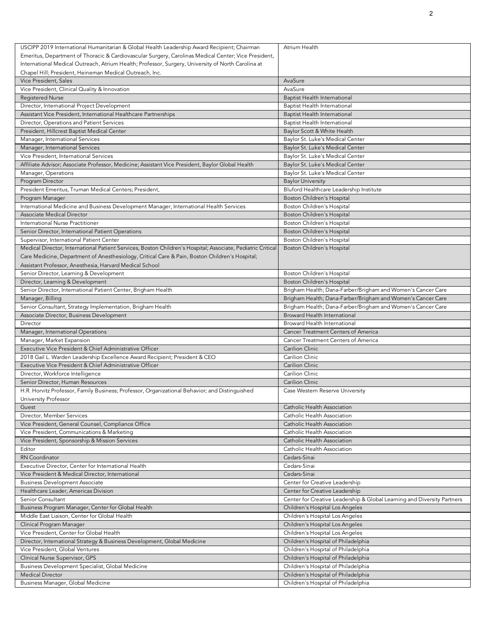| USCIPP 2019 International Humanitarian & Global Health Leadership Award Recipient; Chairman                 | Atrium Health                                                           |
|-------------------------------------------------------------------------------------------------------------|-------------------------------------------------------------------------|
| Emeritus, Department of Thoracic & Cardiovascular Surgery, Carolinas Medical Center; Vice President,        |                                                                         |
| International Medical Outreach, Atrium Health; Professor, Surgery, University of North Carolina at          |                                                                         |
| Chapel Hill; President, Heineman Medical Outreach, Inc.                                                     |                                                                         |
| Vice President, Sales                                                                                       | AvaSure                                                                 |
| Vice President, Clinical Quality & Innovation                                                               | AvaSure                                                                 |
|                                                                                                             |                                                                         |
| <b>Registered Nurse</b>                                                                                     | Baptist Health International                                            |
| Director, International Project Development                                                                 | <b>Baptist Health International</b>                                     |
| Assistant Vice President, International Healthcare Partnerships                                             | <b>Baptist Health International</b>                                     |
| Director, Operations and Patient Services                                                                   | <b>Baptist Health International</b>                                     |
| President, Hillcrest Baptist Medical Center                                                                 | Baylor Scott & White Health                                             |
| Manager, International Services                                                                             | Baylor St. Luke's Medical Center                                        |
| Manager, International Services                                                                             | Baylor St. Luke's Medical Center                                        |
| Vice President, International Services                                                                      |                                                                         |
|                                                                                                             | Baylor St. Luke's Medical Center                                        |
| Affiliate Advisor; Associate Professor, Medicine; Assistant Vice President, Baylor Global Health            | Baylor St. Luke's Medical Center                                        |
| Manager, Operations                                                                                         | Baylor St. Luke's Medical Center                                        |
| Program Director                                                                                            | <b>Baylor University</b>                                                |
| President Emeritus, Truman Medical Centers; President,                                                      | Bluford Healthcare Leadership Institute                                 |
| Program Manager                                                                                             | Boston Children's Hospital                                              |
| International Medicine and Business Development Manager, International Health Services                      | Boston Children's Hospital                                              |
| Associate Medical Director                                                                                  | Boston Children's Hospital                                              |
| International Nurse Practitioner                                                                            |                                                                         |
|                                                                                                             | Boston Children's Hospital                                              |
| Senior Director, International Patient Operations                                                           | Boston Children's Hospital                                              |
| Supervisor, International Patient Center                                                                    | Boston Children's Hospital                                              |
| Medical Director, International Patient Services, Boston Children's Hospital; Associate, Pediatric Critical | Boston Children's Hospital                                              |
| Care Medicine, Department of Anesthesiology, Critical Care & Pain, Boston Children's Hospital;              |                                                                         |
| Assistant Professor, Anesthesia, Harvard Medical School                                                     |                                                                         |
| Senior Director, Learning & Development                                                                     | Boston Children's Hospital                                              |
| Director, Learning & Development                                                                            | Boston Children's Hospital                                              |
| Senior Director, International Patient Center, Brigham Health                                               | Brigham Health; Dana-Farber/Brigham and Women's Cancer Care             |
|                                                                                                             | Brigham Health; Dana-Farber/Brigham and Women's Cancer Care             |
| Manager, Billing                                                                                            |                                                                         |
| Senior Consultant, Strategy Implementation, Brigham Health                                                  | Brigham Health; Dana-Farber/Brigham and Women's Cancer Care             |
| Associate Director, Business Development                                                                    | Broward Health International                                            |
| Director                                                                                                    | Broward Health International                                            |
| Manager, International Operations                                                                           | <b>Cancer Treatment Centers of America</b>                              |
| Manager, Market Expansion                                                                                   | Cancer Treatment Centers of America                                     |
| Executive Vice President & Chief Administrative Officer                                                     | <b>Carilion Clinic</b>                                                  |
| 2018 Gail L. Warden Leadership Excellence Award Recipient; President & CEO                                  | Carilion Clinic                                                         |
| Executive Vice President & Chief Administrative Officer                                                     | Carilion Clinic                                                         |
| Director, Workforce Intelligence                                                                            | Carilion Clinic                                                         |
| Senior Director, Human Resources                                                                            | Carilion Clinic                                                         |
| H.R. Horvitz Professor, Family Business; Professor, Organizational Behavior; and Distinguished              | Case Western Reserve University                                         |
|                                                                                                             |                                                                         |
| University Professor                                                                                        |                                                                         |
| Guest                                                                                                       | Catholic Health Association                                             |
| Director, Member Services                                                                                   | Catholic Health Association                                             |
| Vice President, General Counsel, Compliance Office                                                          | Catholic Health Association                                             |
| Vice President, Communications & Marketing                                                                  | Catholic Health Association                                             |
| Vice President, Sponsorship & Mission Services                                                              | Catholic Health Association                                             |
| Editor                                                                                                      | Catholic Health Association                                             |
| RN Coordinator                                                                                              | Cedars-Sinai                                                            |
| Executive Director, Center for International Health                                                         | Cedars-Sinai                                                            |
| Vice President & Medical Director, International                                                            |                                                                         |
|                                                                                                             | Cedars-Sinai                                                            |
| <b>Business Development Associate</b>                                                                       | Center for Creative Leadership                                          |
| Healthcare Leader, Americas Division                                                                        | Center for Creative Leadership                                          |
| Senior Consultant                                                                                           | Center for Creative Leadership & Global Learning and Diversity Partners |
| Business Program Manager, Center for Global Health                                                          | Children's Hospital Los Angeles                                         |
| Middle East Liaison, Center for Global Health                                                               | Children's Hospital Los Angeles                                         |
| Clinical Program Manager                                                                                    | Children's Hospital Los Angeles                                         |
| Vice President, Center for Global Health                                                                    | Children's Hospital Los Angeles                                         |
| Director, International Strategy & Business Development, Global Medicine                                    | Children's Hospital of Philadelphia                                     |
| Vice President, Global Ventures                                                                             |                                                                         |
|                                                                                                             | Children's Hospital of Philadelphia                                     |
| Clinical Nurse Supervisor, GPS                                                                              | Children's Hospital of Philadelphia                                     |
| Business Development Specialist, Global Medicine                                                            | Children's Hospital of Philadelphia                                     |
| <b>Medical Director</b>                                                                                     | Children's Hospital of Philadelphia                                     |
| Business Manager, Global Medicine                                                                           | Children's Hospital of Philadelphia                                     |
|                                                                                                             |                                                                         |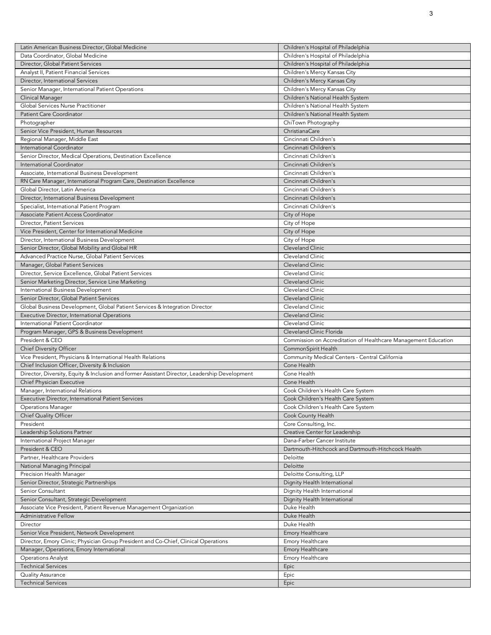| Latin American Business Director, Global Medicine                                             | Children's Hospital of Philadelphia                            |
|-----------------------------------------------------------------------------------------------|----------------------------------------------------------------|
| Data Coordinator, Global Medicine                                                             | Children's Hospital of Philadelphia                            |
| Director, Global Patient Services                                                             | Children's Hospital of Philadelphia                            |
| Analyst II, Patient Financial Services                                                        | Children's Mercy Kansas City                                   |
| Director, International Services                                                              | Children's Mercy Kansas City                                   |
| Senior Manager, International Patient Operations                                              | Children's Mercy Kansas City                                   |
| Clinical Manager                                                                              | Children's National Health System                              |
| Global Services Nurse Practitioner                                                            | Children's National Health System                              |
| <b>Patient Care Coordinator</b>                                                               | Children's National Health System                              |
| Photographer                                                                                  | ChiTown Photography                                            |
| Senior Vice President, Human Resources                                                        | ChristianaCare                                                 |
| Regional Manager, Middle East                                                                 | Cincinnati Children's                                          |
| International Coordinator                                                                     | Cincinnati Children's                                          |
| Senior Director, Medical Operations, Destination Excellence                                   | Cincinnati Children's                                          |
| International Coordinator                                                                     | Cincinnati Children's                                          |
|                                                                                               | Cincinnati Children's                                          |
| Associate, International Business Development                                                 |                                                                |
| RN Care Manager, International Program Care, Destination Excellence                           | Cincinnati Children's                                          |
| Global Director, Latin America                                                                | Cincinnati Children's                                          |
| Director, International Business Development                                                  | Cincinnati Children's                                          |
| Specialist, International Patient Program                                                     | Cincinnati Children's                                          |
| Associate Patient Access Coordinator                                                          | City of Hope                                                   |
| Director, Patient Services                                                                    | City of Hope                                                   |
| Vice President, Center for International Medicine                                             | City of Hope                                                   |
| Director, International Business Development                                                  | City of Hope                                                   |
| Senior Director, Global Mobility and Global HR                                                | Cleveland Clinic                                               |
| Advanced Practice Nurse, Global Patient Services                                              | Cleveland Clinic                                               |
| Manager, Global Patient Services                                                              | Cleveland Clinic                                               |
| Director, Service Excellence, Global Patient Services                                         | Cleveland Clinic                                               |
| Senior Marketing Director, Service Line Marketing                                             | Cleveland Clinic                                               |
| International Business Development                                                            | Cleveland Clinic                                               |
| Senior Director, Global Patient Services                                                      | Cleveland Clinic                                               |
| Global Business Development, Global Patient Services & Integration Director                   | Cleveland Clinic                                               |
| Executive Director, International Operations                                                  | Cleveland Clinic                                               |
| International Patient Coordinator                                                             | Cleveland Clinic                                               |
| Program Manager, GPS & Business Development                                                   |                                                                |
|                                                                                               |                                                                |
|                                                                                               | Cleveland Clinic Florida                                       |
| President & CEO                                                                               | Commission on Accreditation of Healthcare Management Education |
| Chief Diversity Officer                                                                       | CommonSpirit Health                                            |
| Vice President, Physicians & International Health Relations                                   | Community Medical Centers - Central California                 |
| Chief Inclusion Officer, Diversity & Inclusion                                                | Cone Health                                                    |
| Director, Diversity, Equity & Inclusion and former Assistant Director, Leadership Development | Cone Health                                                    |
| Chief Physician Executive                                                                     | Cone Health                                                    |
| Manager, International Relations                                                              | Cook Children's Health Care System                             |
| Executive Director, International Patient Services                                            | Cook Children's Health Care System                             |
| Operations Manager                                                                            | Cook Children's Health Care System                             |
| Chief Quality Officer                                                                         | Cook County Health                                             |
| President                                                                                     | Core Consulting, Inc.                                          |
| Leadership Solutions Partner                                                                  | Creative Center for Leadership                                 |
| International Project Manager                                                                 | Dana-Farber Cancer Institute                                   |
| President & CEO                                                                               | Dartmouth-Hitchcock and Dartmouth-Hitchcock Health             |
| Partner, Healthcare Providers                                                                 | Deloitte                                                       |
| National Managing Principal                                                                   | Deloitte                                                       |
| Precision Health Manager                                                                      | Deloitte Consulting, LLP                                       |
| Senior Director, Strategic Partnerships                                                       | Dignity Health International                                   |
| Senior Consultant                                                                             | Dignity Health International                                   |
| Senior Consultant, Strategic Development                                                      | Dignity Health International                                   |
| Associate Vice President, Patient Revenue Management Organization                             | Duke Health                                                    |
| <b>Administrative Fellow</b>                                                                  | Duke Health                                                    |
| Director                                                                                      | Duke Health                                                    |
| Senior Vice President, Network Development                                                    | Emory Healthcare                                               |
|                                                                                               |                                                                |
| Director, Emory Clinic; Physician Group President and Co-Chief, Clinical Operations           | Emory Healthcare                                               |
| Manager, Operations, Emory International                                                      | Emory Healthcare                                               |
| <b>Operations Analyst</b>                                                                     | Emory Healthcare                                               |
| <b>Technical Services</b>                                                                     | Epic                                                           |
| Quality Assurance<br><b>Technical Services</b>                                                | Epic<br>Epic                                                   |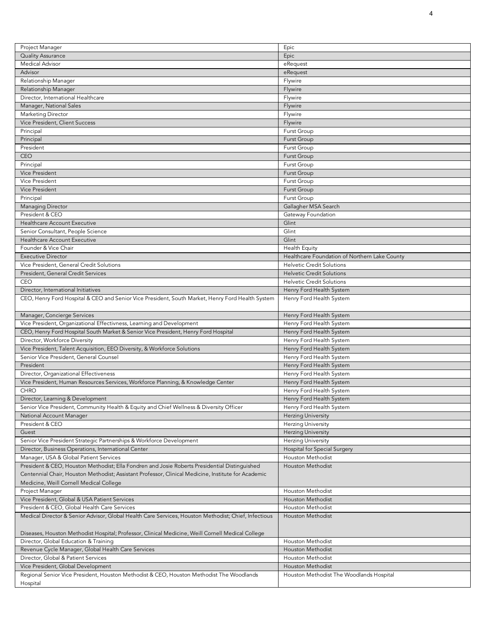| Project Manager                                                                                      | Epic                                          |
|------------------------------------------------------------------------------------------------------|-----------------------------------------------|
| Quality Assurance                                                                                    | Epic                                          |
| <b>Medical Advisor</b>                                                                               | eRequest                                      |
| Advisor                                                                                              | eRequest                                      |
| Relationship Manager                                                                                 | Flywire                                       |
|                                                                                                      |                                               |
| Relationship Manager                                                                                 | Flywire                                       |
| Director, International Healthcare                                                                   | Flywire                                       |
| Manager, National Sales                                                                              | Flywire                                       |
| Marketing Director                                                                                   | Flywire                                       |
| Vice President, Client Success                                                                       | Flywire                                       |
| Principal                                                                                            | Furst Group                                   |
| Principal                                                                                            | <b>Furst Group</b>                            |
| President                                                                                            | Furst Group                                   |
| <b>CEO</b>                                                                                           | <b>Furst Group</b>                            |
| Principal                                                                                            | <b>Furst Group</b>                            |
| Vice President                                                                                       | <b>Furst Group</b>                            |
| Vice President                                                                                       | <b>Furst Group</b>                            |
| <b>Vice President</b>                                                                                | <b>Furst Group</b>                            |
| Principal                                                                                            | Furst Group                                   |
| <b>Managing Director</b>                                                                             | Gallagher MSA Search                          |
| President & CEO                                                                                      | Gateway Foundation                            |
| Healthcare Account Executive                                                                         | Glint                                         |
| Senior Consultant, People Science                                                                    | Glint                                         |
| Healthcare Account Executive                                                                         | Glint                                         |
| Founder & Vice Chair                                                                                 | Health Equity                                 |
| <b>Executive Director</b>                                                                            | Healthcare Foundation of Northern Lake County |
| Vice President, General Credit Solutions                                                             | <b>Helvetic Credit Solutions</b>              |
|                                                                                                      | <b>Helvetic Credit Solutions</b>              |
| President, General Credit Services<br>CEO                                                            | <b>Helvetic Credit Solutions</b>              |
|                                                                                                      |                                               |
| Director, International Initiatives                                                                  | Henry Ford Health System                      |
| CEO, Henry Ford Hospital & CEO and Senior Vice President, South Market, Henry Ford Health System     | Henry Ford Health System                      |
|                                                                                                      |                                               |
| Manager, Concierge Services                                                                          | Henry Ford Health System                      |
| Vice President, Organizational Effectivness, Learning and Development                                | Henry Ford Health System                      |
| CEO, Henry Ford Hospital South Market & Senior Vice President, Henry Ford Hospital                   | Henry Ford Health System                      |
| Director, Workforce Diversity                                                                        | Henry Ford Health System                      |
| Vice President, Talent Acquisition, EEO Diversity, & Workforce Solutions                             | Henry Ford Health System                      |
| Senior Vice President, General Counsel                                                               | Henry Ford Health System                      |
| President                                                                                            | Henry Ford Health System                      |
| Director, Organizational Effectiveness                                                               | Henry Ford Health System                      |
| Vice President, Human Resources Services, Workforce Planning, & Knowledge Center                     | Henry Ford Health System                      |
| <b>CHRO</b>                                                                                          | Henry Ford Health System                      |
| Director, Learning & Development                                                                     | Henry Ford Health System                      |
| Senior Vice President, Community Health & Equity and Chief Wellness & Diversity Officer              | Henry Ford Health System                      |
| National Account Manager                                                                             | <b>Herzing University</b>                     |
| President & CEO                                                                                      | <b>Herzing University</b>                     |
| Guest                                                                                                | <b>Herzing University</b>                     |
| Senior Vice President Strategic Partnerships & Workforce Development                                 | <b>Herzing University</b>                     |
| Director, Business Operations, International Center                                                  | Hospital for Special Surgery                  |
| Manager, USA & Global Patient Services                                                               | Houston Methodist                             |
| President & CEO, Houston Methodist; Ella Fondren and Josie Roberts Presidential Distinguished        | Houston Methodist                             |
| Centennial Chair, Houston Methodist; Assistant Professor, Clinical Medicine, Institute for Academic  |                                               |
|                                                                                                      |                                               |
| Medicine, Weill Cornell Medical College                                                              |                                               |
| Project Manager                                                                                      | Houston Methodist                             |
| Vice President, Global & USA Patient Services                                                        | Houston Methodist                             |
| President & CEO, Global Health Care Services                                                         | Houston Methodist                             |
| Medical Director & Senior Advisor, Global Health Care Services, Houston Methodist; Chief, Infectious | Houston Methodist                             |
|                                                                                                      |                                               |
| Diseases, Houston Methodist Hospital; Professor, Clinical Medicine, Weill Cornell Medical College    |                                               |
| Director, Global Education & Training                                                                | Houston Methodist                             |
| Revenue Cycle Manager, Global Health Care Services                                                   | Houston Methodist                             |
| Director, Global & Patient Services                                                                  | Houston Methodist                             |
| Vice President, Global Development                                                                   | Houston Methodist                             |
| Regional Senior Vice President, Houston Methodist & CEO, Houston Methodist The Woodlands             | Houston Methodist The Woodlands Hospital      |
| Hospital                                                                                             |                                               |

4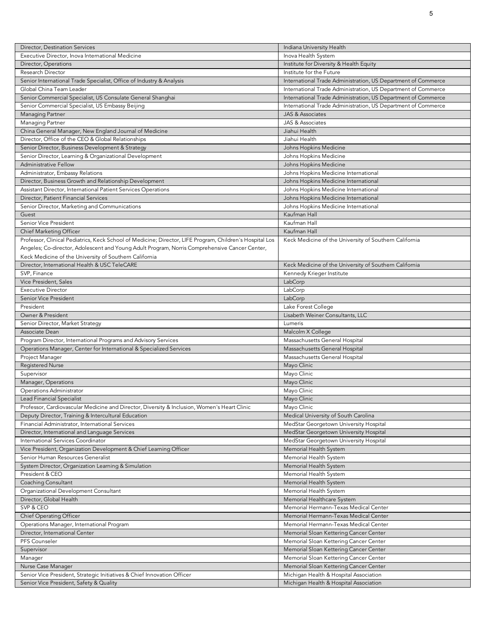| Director, Destination Services                                                                           | Indiana University Health                                     |
|----------------------------------------------------------------------------------------------------------|---------------------------------------------------------------|
| Executive Director, Inova International Medicine                                                         | Inova Health System                                           |
| Director, Operations                                                                                     | Institute for Diversity & Health Equity                       |
| Research Director                                                                                        | Institute for the Future                                      |
| Senior International Trade Specialist, Office of Industry & Analysis                                     | International Trade Administration, US Department of Commerce |
| Global China Team Leader                                                                                 | International Trade Administration, US Department of Commerce |
| Senior Commercial Specialist, US Consulate General Shanghai                                              | International Trade Administration, US Department of Commerce |
| Senior Commercial Specialist, US Embassy Beijing                                                         | International Trade Administration, US Department of Commerce |
| Managing Partner                                                                                         | <b>JAS &amp; Associates</b>                                   |
|                                                                                                          | JAS & Associates                                              |
| Managing Partner<br>China General Manager, New England Journal of Medicine                               | Jiahui Health                                                 |
|                                                                                                          |                                                               |
| Director, Office of the CEO & Global Relationships                                                       | Jiahui Health                                                 |
| Senior Director, Business Development & Strategy                                                         | Johns Hopkins Medicine                                        |
| Senior Director, Learning & Organizational Development                                                   | Johns Hopkins Medicine                                        |
| <b>Administrative Fellow</b>                                                                             | Johns Hopkins Medicine                                        |
| Administrator, Embassy Relations                                                                         | Johns Hopkins Medicine International                          |
| Director, Business Growth and Relationship Development                                                   | Johns Hopkins Medicine International                          |
| Assistant Director, International Patient Services Operations                                            | Johns Hopkins Medicine International                          |
| Director, Patient Financial Services                                                                     | Johns Hopkins Medicine International                          |
| Senior Director, Marketing and Communications                                                            | Johns Hopkins Medicine International                          |
| Guest                                                                                                    | Kaufman Hall                                                  |
| Senior Vice President                                                                                    | Kaufman Hall                                                  |
| Chief Marketing Officer                                                                                  | Kaufman Hall                                                  |
| Professor, Clinical Pediatrics, Keck School of Medicine; Director, LIFE Program, Children's Hospital Los | Keck Medicine of the University of Southern California        |
| Angeles; Co-director, Adolescent and Young Adult Program, Norris Comprehensive Cancer Center,            |                                                               |
| Keck Medicine of the University of Southern California                                                   |                                                               |
| Director, International Health & USC TeleCARE                                                            | Keck Medicine of the University of Southern California        |
| SVP, Finance                                                                                             | Kennedy Krieger Institute                                     |
| Vice President, Sales                                                                                    | LabCorp                                                       |
| <b>Executive Director</b>                                                                                | LabCorp                                                       |
| Senior Vice President                                                                                    | LabCorp                                                       |
| President                                                                                                | Lake Forest College                                           |
| Owner & President                                                                                        | Lisabeth Weiner Consultants, LLC                              |
| Senior Director, Market Strategy                                                                         | Lumeris                                                       |
| Associate Dean                                                                                           | Malcolm X College                                             |
| Program Director, International Programs and Advisory Services                                           | Massachusetts General Hospital                                |
|                                                                                                          |                                                               |
| Operations Manager, Center for International & Specialized Services                                      | Massachusetts General Hospital                                |
| Project Manager                                                                                          | Massachusetts General Hospital                                |
| <b>Registered Nurse</b>                                                                                  | Mayo Clinic                                                   |
| Supervisor                                                                                               | Mayo Clinic                                                   |
| Manager, Operations                                                                                      | Mayo Clinic                                                   |
| Operations Administrator                                                                                 | Mayo Clinic                                                   |
| <b>Lead Financial Specialist</b>                                                                         | Mayo Clinic                                                   |
| Professor, Cardiovascular Medicine and Director, Diversity & Inclusion, Women's Heart Clinic             | Mayo Clinic                                                   |
| Deputy Director, Training & Intercultural Education                                                      | Medical University of South Carolina                          |
| Financial Administrator, International Services                                                          | MedStar Georgetown University Hospital                        |
| Director, International and Language Services                                                            | MedStar Georgetown University Hospital                        |
| International Services Coordinator                                                                       | MedStar Georgetown University Hospital                        |
| Vice President, Organization Development & Chief Learning Officer                                        | Memorial Health System                                        |
| Senior Human Resources Generalist                                                                        | Memorial Health System                                        |
| System Director, Organization Learning & Simulation                                                      | Memorial Health System                                        |
| President & CEO                                                                                          | Memorial Health System                                        |
| Coaching Consultant                                                                                      | Memorial Health System                                        |
| Organizational Development Consultant                                                                    | Memorial Health System                                        |
| Director, Global Health                                                                                  | Memorial Healthcare System                                    |
| SVP & CEO                                                                                                | Memorial Hermann-Texas Medical Center                         |
| Chief Operating Officer                                                                                  | Memorial Hermann-Texas Medical Center                         |
| Operations Manager, International Program                                                                | Memorial Hermann-Texas Medical Center                         |
| Director, International Center                                                                           | Memorial Sloan Kettering Cancer Center                        |
| PFS Counseler                                                                                            | Memorial Sloan Kettering Cancer Center                        |
|                                                                                                          |                                                               |
| Supervisor                                                                                               | Memorial Sloan Kettering Cancer Center                        |
| Manager                                                                                                  | Memorial Sloan Kettering Cancer Center                        |
| Nurse Case Manager                                                                                       | Memorial Sloan Kettering Cancer Center                        |
| Senior Vice President, Strategic Initiatives & Chief Innovation Officer                                  | Michigan Health & Hospital Association                        |
| Senior Vice President, Safety & Quality                                                                  | Michigan Health & Hospital Association                        |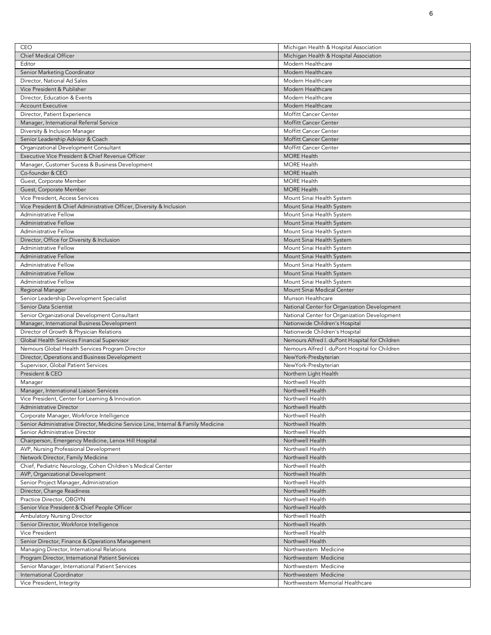| CEO                                                                               | Michigan Health & Hospital Association         |
|-----------------------------------------------------------------------------------|------------------------------------------------|
|                                                                                   |                                                |
| <b>Chief Medical Officer</b>                                                      | Michigan Health & Hospital Association         |
| Editor                                                                            | Modern Healthcare                              |
| Senior Marketing Coordinator                                                      | Modern Healthcare                              |
| Director, National Ad Sales                                                       | Modern Healthcare                              |
| Vice President & Publisher                                                        | Modern Healthcare                              |
| Director, Education & Events                                                      | Modern Healthcare                              |
| <b>Account Executive</b>                                                          | Modern Healthcare                              |
| Director, Patient Experience                                                      | Moffitt Cancer Center                          |
| Manager, International Referral Service                                           | Moffitt Cancer Center                          |
| Diversity & Inclusion Manager                                                     | Moffitt Cancer Center                          |
| Senior Leadership Advisor & Coach                                                 | Moffitt Cancer Center                          |
| Organizational Development Consultant                                             | Moffitt Cancer Center                          |
|                                                                                   |                                                |
| Executive Vice President & Chief Revenue Officer                                  | <b>MORE Health</b>                             |
| Manager, Customer Sucess & Business Development                                   | <b>MORE Health</b>                             |
| Co-founder & CEO                                                                  | <b>MORE Health</b>                             |
| Guest, Corporate Member                                                           | <b>MORE Health</b>                             |
| Guest, Corporate Member                                                           | <b>MORE Health</b>                             |
| Vice President, Access Services                                                   | Mount Sinai Health System                      |
| Vice President & Chief Administrative Officer, Diversity & Inclusion              | Mount Sinai Health System                      |
| Administrative Fellow                                                             | Mount Sinai Health System                      |
| <b>Administrative Fellow</b>                                                      | Mount Sinai Health System                      |
| Administrative Fellow                                                             | Mount Sinai Health System                      |
|                                                                                   |                                                |
| Director, Office for Diversity & Inclusion                                        | Mount Sinai Health System                      |
| Administrative Fellow                                                             | Mount Sinai Health System                      |
| <b>Administrative Fellow</b>                                                      | Mount Sinai Health System                      |
| Administrative Fellow                                                             | Mount Sinai Health System                      |
| <b>Administrative Fellow</b>                                                      | Mount Sinai Health System                      |
| Administrative Fellow                                                             | Mount Sinai Health System                      |
| Regional Manager                                                                  | Mount Sinai Medical Center                     |
| Senior Leadership Development Specialist                                          | Munson Healthcare                              |
| Senior Data Scientist                                                             | National Center for Organization Development   |
|                                                                                   |                                                |
|                                                                                   |                                                |
| Senior Organizational Development Consultant                                      | National Center for Organization Development   |
| Manager, International Business Development                                       | Nationwide Children's Hospital                 |
| Director of Growth & Physician Relations                                          | Nationwide Children's Hospital                 |
| Global Health Services Financial Supervisor                                       | Nemours Alfred I. duPont Hospital for Children |
| Nemours Global Health Services Program Director                                   | Nemours Alfred I. duPont Hospital for Children |
| Director, Operations and Business Development                                     | NewYork-Presbyterian                           |
| Supervisor, Global Patient Services                                               | NewYork-Presbyterian                           |
| President & CEO                                                                   | Northern Light Health                          |
| Manager                                                                           | Northwell Health                               |
| Manager, International Liaison Services                                           | Northwell Health                               |
|                                                                                   | Northwell Health                               |
| Vice President, Center for Learning & Innovation                                  |                                                |
| Administrative Director                                                           | Northwell Health                               |
| Corporate Manager, Workforce Intelligence                                         | Northwell Health                               |
| Senior Administrative Director, Medicine Service Line, Internal & Family Medicine | Northwell Health                               |
| Senior Administrative Director                                                    | Northwell Health                               |
| Chairperson, Emergency Medicine, Lenox Hill Hospital                              | Northwell Health                               |
| AVP, Nursing Professional Development                                             | Northwell Health                               |
| Network Director, Family Medicine                                                 | Northwell Health                               |
| Chief, Pediatric Neurology, Cohen Children's Medical Center                       | Northwell Health                               |
| AVP, Organizational Development                                                   | Northwell Health                               |
| Senior Project Manager, Administration                                            | Northwell Health                               |
| Director, Change Readiness                                                        | Northwell Health                               |
| Practice Director, OBGYN                                                          | Northwell Health                               |
|                                                                                   | Northwell Health                               |
| Senior Vice President & Chief People Officer                                      |                                                |
| Ambulatory Nursing Director                                                       | Northwell Health                               |
| Senior Director, Workforce Intelligence                                           | Northwell Health                               |
| Vice President                                                                    | Northwell Health                               |
| Senior Director, Finance & Operations Management                                  | Northwell Health                               |
| Managing Director, International Relations                                        | Northwestern Medicine                          |
| Program Director, International Patient Services                                  | Northwestern Medicine                          |
| Senior Manager, International Patient Services                                    | Northwestern Medicine                          |
| International Coordinator                                                         | Northwestern Medicine                          |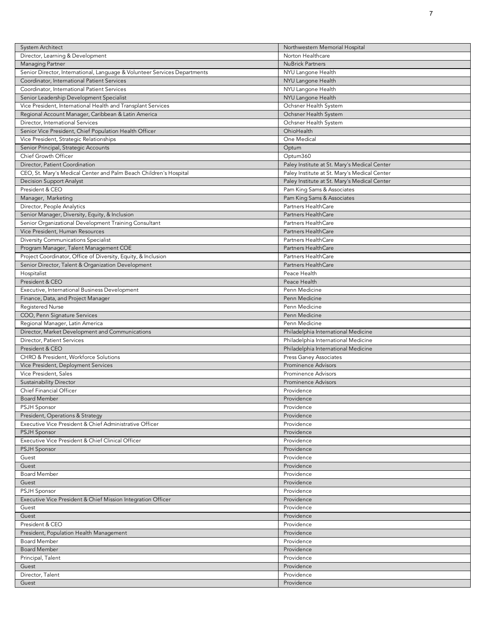| <b>System Architect</b>                                                   | Northwestern Memorial Hospital               |
|---------------------------------------------------------------------------|----------------------------------------------|
| Director, Learning & Development                                          | Norton Healthcare                            |
| Managing Partner                                                          | <b>NuBrick Partners</b>                      |
| Senior Director, International, Language & Volunteer Services Departments | NYU Langone Health                           |
| Coordinator, International Patient Services                               | NYU Langone Health                           |
| Coordinator, International Patient Services                               | NYU Langone Health                           |
| Senior Leadership Development Specialist                                  | NYU Langone Health                           |
| Vice President, International Health and Transplant Services              | Ochsner Health System                        |
| Regional Account Manager, Caribbean & Latin America                       | Ochsner Health System                        |
| Director, International Services                                          | Ochsner Health System                        |
| Senior Vice President, Chief Population Health Officer                    | OhioHealth                                   |
| Vice President, Strategic Relationships                                   | One Medical                                  |
| Senior Principal, Strategic Accounts                                      | Optum                                        |
| Chief Growth Officer                                                      | Optum360                                     |
| Director, Patient Coordination                                            | Paley Institute at St. Mary's Medical Center |
| CEO, St. Mary's Medical Center and Palm Beach Children's Hospital         | Paley Institute at St. Mary's Medical Center |
| Decision Support Analyst                                                  | Paley Institute at St. Mary's Medical Center |
| President & CEO                                                           | Pam King Sams & Associates                   |
| Manager, Marketing                                                        | Pam King Sams & Associates                   |
| Director, People Analytics                                                | Partners HealthCare                          |
| Senior Manager, Diversity, Equity, & Inclusion                            | <b>Partners HealthCare</b>                   |
| Senior Organizational Development Training Consultant                     | Partners HealthCare                          |
| Vice President, Human Resources                                           | Partners HealthCare                          |
| Diversity Communications Specialist                                       | Partners HealthCare                          |
| Program Manager, Talent Management COE                                    | Partners HealthCare                          |
| Project Coordinator, Office of Diversity, Equity, & Inclusion             | Partners HealthCare                          |
| Senior Director, Talent & Organization Development                        | Partners HealthCare                          |
| Hospitalist                                                               | Peace Health                                 |
| President & CEO                                                           | Peace Health                                 |
| Executive, International Business Development                             | Penn Medicine                                |
| Finance, Data, and Project Manager                                        | Penn Medicine                                |
| <b>Registered Nurse</b>                                                   | Penn Medicine                                |
| COO, Penn Signature Services                                              | Penn Medicine                                |
| Regional Manager, Latin America                                           | Penn Medicine                                |
| Director, Market Development and Communications                           | Philadelphia International Medicine          |
| Director, Patient Services                                                | Philadelphia International Medicine          |
| President & CEO                                                           | Philadelphia International Medicine          |
| CHRO & President, Workforce Solutions                                     | Press Ganey Associates                       |
| Vice President, Deployment Services                                       | <b>Prominence Advisors</b>                   |
| Vice President, Sales                                                     | <b>Prominence Advisors</b>                   |
| Sustainability Director                                                   | <b>Prominence Advisors</b>                   |
| Chief Financial Officer                                                   | Providence                                   |
| Board Member                                                              | Providence                                   |
| PSJH Sponsor                                                              | Providence                                   |
| President, Operations & Strategy                                          | Providence                                   |
| Executive Vice President & Chief Administrative Officer                   | Providence                                   |
| <b>PSJH Sponsor</b>                                                       | Providence                                   |
| Executive Vice President & Chief Clinical Officer                         | Providence                                   |
| <b>PSJH Sponsor</b>                                                       | Providence                                   |
| Guest                                                                     | Providence                                   |
| Guest                                                                     | Providence                                   |
| <b>Board Member</b>                                                       | Providence                                   |
| Guest                                                                     |                                              |
| PSJH Sponsor                                                              | Providence<br>Providence                     |
| Executive Vice President & Chief Mission Integration Officer              | Providence                                   |
| Guest                                                                     | Providence                                   |
| Guest                                                                     | Providence                                   |
| President & CEO                                                           |                                              |
|                                                                           | Providence                                   |
| President, Population Health Management<br><b>Board Member</b>            | Providence                                   |
| <b>Board Member</b>                                                       | Providence                                   |
|                                                                           | Providence                                   |
| Principal, Talent                                                         | Providence                                   |
| Guest                                                                     | Providence                                   |
| Director, Talent                                                          | Providence                                   |
| Guest                                                                     | Providence                                   |

7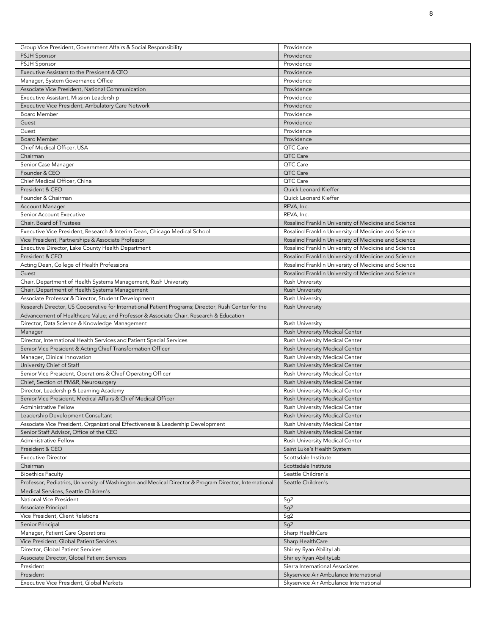| Group Vice President, Government Affairs & Social Responsibility                                       | Providence                                           |
|--------------------------------------------------------------------------------------------------------|------------------------------------------------------|
| <b>PSJH Sponsor</b>                                                                                    | Providence                                           |
| <b>PSJH Sponsor</b>                                                                                    | Providence                                           |
| Executive Assistant to the President & CEO                                                             | Providence                                           |
| Manager, System Governance Office                                                                      | Providence                                           |
| Associate Vice President, National Communication                                                       | Providence                                           |
| Executive Assistant, Mission Leadership                                                                | Providence                                           |
| Executive Vice President, Ambulatory Care Network                                                      | Providence                                           |
| <b>Board Member</b>                                                                                    | Providence                                           |
| Guest                                                                                                  | Providence                                           |
| Guest                                                                                                  | Providence                                           |
| <b>Board Member</b>                                                                                    | Providence                                           |
| Chief Medical Officer, USA                                                                             | QTC Care                                             |
|                                                                                                        | QTC Care                                             |
| Chairman                                                                                               | QTC Care                                             |
| Senior Case Manager                                                                                    |                                                      |
| Founder & CEO                                                                                          | QTC Care                                             |
| Chief Medical Officer, China                                                                           | QTC Care                                             |
| President & CEO                                                                                        | Quick Leonard Kieffer                                |
| Founder & Chairman                                                                                     | Quick Leonard Kieffer                                |
| Account Manager                                                                                        | REVA, Inc.                                           |
| Senior Account Executive                                                                               | REVA, Inc.                                           |
| Chair, Board of Trustees                                                                               | Rosalind Franklin University of Medicine and Science |
| Executive Vice President, Research & Interim Dean, Chicago Medical School                              | Rosalind Franklin University of Medicine and Science |
| Vice President, Partnerships & Associate Professor                                                     | Rosalind Franklin University of Medicine and Science |
| Executive Director, Lake County Health Department                                                      | Rosalind Franklin University of Medicine and Science |
| President & CEO                                                                                        | Rosalind Franklin University of Medicine and Science |
| Acting Dean, College of Health Professions                                                             | Rosalind Franklin University of Medicine and Science |
| Guest                                                                                                  | Rosalind Franklin University of Medicine and Science |
| Chair, Department of Health Systems Management, Rush University                                        | <b>Rush University</b>                               |
| Chair, Department of Health Systems Management                                                         | <b>Rush University</b>                               |
| Associate Professor & Director, Student Development                                                    | <b>Rush University</b>                               |
| Research Director, US Cooperative for International Patient Programs; Director, Rush Center for the    | <b>Rush University</b>                               |
| Advancement of Healthcare Value; and Professor & Associate Chair, Research & Education                 |                                                      |
| Director, Data Science & Knowledge Management                                                          | <b>Rush University</b>                               |
| Manager                                                                                                | Rush University Medical Center                       |
| Director, International Health Services and Patient Special Services                                   | Rush University Medical Center                       |
| Senior Vice President & Acting Chief Transformation Officer                                            | Rush University Medical Center                       |
| Manager, Clinical Innovation                                                                           | Rush University Medical Center                       |
| University Chief of Staff                                                                              | Rush University Medical Center                       |
| Senior Vice President, Operations & Chief Operating Officer                                            | Rush University Medical Center                       |
| Chief, Section of PM&R, Neurosurgery                                                                   | Rush University Medical Center                       |
| Director, Leadership & Learning Academy                                                                | Rush University Medical Center                       |
|                                                                                                        |                                                      |
| Senior Vice President, Medical Affairs & Chief Medical Officer                                         | Rush University Medical Center                       |
| Administrative Fellow                                                                                  | Rush University Medical Center                       |
| Leadership Development Consultant                                                                      | Rush University Medical Center                       |
| Associate Vice President, Organizational Effectiveness & Leadership Development                        | Rush University Medical Center                       |
| Senior Staff Advisor, Office of the CEO                                                                | Rush University Medical Center                       |
| Administrative Fellow                                                                                  | Rush University Medical Center                       |
| President & CEO                                                                                        | Saint Luke's Health System                           |
| <b>Executive Director</b>                                                                              | Scottsdale Institute                                 |
| Chairman                                                                                               | Scottsdale Institute                                 |
| <b>Bioethics Faculty</b>                                                                               | Seattle Children's                                   |
| Professor, Pediatrics, University of Washington and Medical Director & Program Director, International | Seattle Children's                                   |
| Medical Services, Seattle Children's                                                                   |                                                      |
| National Vice President                                                                                | Sg <sub>2</sub>                                      |
| Associate Principal                                                                                    | Sg <sub>2</sub>                                      |
| Vice President, Client Relations                                                                       | Sg <sub>2</sub>                                      |
| Senior Principal                                                                                       | Sg <sub>2</sub>                                      |
| Manager, Patient Care Operations                                                                       | Sharp HealthCare                                     |
| Vice President, Global Patient Services                                                                | Sharp Health Care                                    |
| Director, Global Patient Services                                                                      | Shirley Ryan AbilityLab                              |
| Associate Director, Global Patient Services                                                            | Shirley Ryan AbilityLab                              |
| President                                                                                              | Sierra International Associates                      |
| President                                                                                              |                                                      |
|                                                                                                        | Skyservice Air Ambulance International               |
| Executive Vice President, Global Markets                                                               | Skyservice Air Ambulance International               |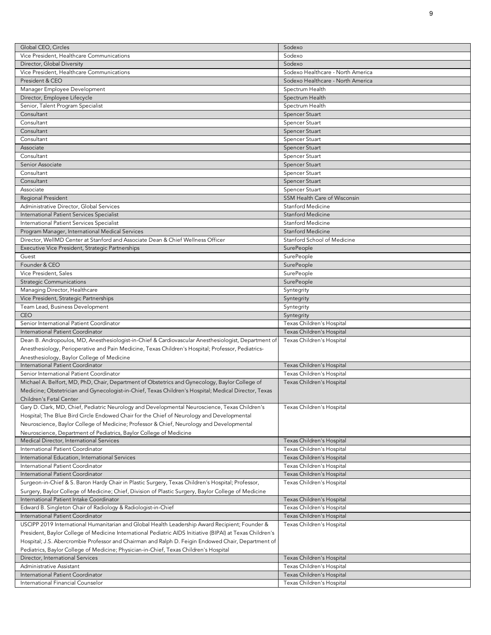| Global CEO, Circles                                                                                       | Sodexo                                                 |
|-----------------------------------------------------------------------------------------------------------|--------------------------------------------------------|
| Vice President, Healthcare Communications                                                                 | Sodexo                                                 |
|                                                                                                           |                                                        |
| Director, Global Diversity                                                                                | Sodexo                                                 |
| Vice President, Healthcare Communications                                                                 | Sodexo Healthcare - North America                      |
| President & CEO                                                                                           | Sodexo Healthcare - North America                      |
| Manager Employee Development                                                                              | Spectrum Health                                        |
| Director, Employee Lifecycle                                                                              | Spectrum Health                                        |
| Senior, Talent Program Specialist                                                                         | Spectrum Health                                        |
| Consultant                                                                                                | Spencer Stuart                                         |
| Consultant                                                                                                | Spencer Stuart                                         |
| Consultant                                                                                                | Spencer Stuart                                         |
| Consultant                                                                                                | Spencer Stuart                                         |
| Associate                                                                                                 | Spencer Stuart                                         |
| Consultant                                                                                                | Spencer Stuart                                         |
| Senior Associate                                                                                          | <b>Spencer Stuart</b>                                  |
| Consultant                                                                                                | Spencer Stuart                                         |
| Consultant                                                                                                | Spencer Stuart                                         |
|                                                                                                           |                                                        |
| Associate                                                                                                 | Spencer Stuart                                         |
| Regional President                                                                                        | SSM Health Care of Wisconsin                           |
| Administrative Director, Global Services                                                                  | Stanford Medicine                                      |
| International Patient Services Specialist                                                                 | <b>Stanford Medicine</b>                               |
| International Patient Services Specialist                                                                 | Stanford Medicine                                      |
| Program Manager, International Medical Services                                                           | <b>Stanford Medicine</b>                               |
| Director, WellMD Center at Stanford and Associate Dean & Chief Wellness Officer                           | Stanford School of Medicine                            |
| Executive Vice President, Strategic Partnerships                                                          | <b>SurePeople</b>                                      |
| Guest                                                                                                     | <b>SurePeople</b>                                      |
| Founder & CEO                                                                                             | <b>SurePeople</b>                                      |
| Vice President, Sales                                                                                     | <b>SurePeople</b>                                      |
| <b>Strategic Communications</b>                                                                           | <b>SurePeople</b>                                      |
| Managing Director, Healthcare                                                                             |                                                        |
|                                                                                                           | Syntegrity                                             |
| Vice President, Strategic Partnerships                                                                    | Syntegrity                                             |
| Team Lead, Business Development                                                                           | Syntegrity                                             |
| <b>CEO</b>                                                                                                | Syntegrity                                             |
| Senior International Patient Coordinator                                                                  | Texas Children's Hospital                              |
| International Patient Coordinator                                                                         | Texas Children's Hospital                              |
|                                                                                                           |                                                        |
| Dean B. Andropoulos, MD, Anesthesiologist-in-Chief & Cardiovascular Anesthesiologist, Department of       | Texas Children's Hospital                              |
| Anesthesiology, Perioperative and Pain Medicine, Texas Children's Hospital; Professor, Pediatrics-        |                                                        |
| Anesthesiology, Baylor College of Medicine                                                                |                                                        |
| International Patient Coordinator                                                                         | Texas Children's Hospital                              |
| Senior International Patient Coordinator                                                                  | Texas Children's Hospital                              |
|                                                                                                           |                                                        |
| Michael A. Belfort, MD, PhD, Chair, Department of Obstetrics and Gynecology, Baylor College of            | Texas Children's Hospital                              |
| Medicine; Obstetrician and Gynecologist-in-Chief, Texas Children's Hospital; Medical Director, Texas      |                                                        |
| Children's Fetal Center                                                                                   |                                                        |
| Gary D. Clark, MD, Chief, Pediatric Neurology and Developmental Neuroscience, Texas Children's            | Texas Children's Hospital                              |
| Hospital; The Blue Bird Circle Endowed Chair for the Chief of Neurology and Developmental                 |                                                        |
| Neuroscience, Baylor College of Medicine; Professor & Chief, Neurology and Developmental                  |                                                        |
| Neuroscience, Department of Pediatrics, Baylor College of Medicine                                        |                                                        |
| Medical Director, International Services                                                                  | Texas Children's Hospital                              |
| International Patient Coordinator                                                                         | Texas Children's Hospital                              |
| International Education, International Services                                                           | Texas Children's Hospital                              |
| International Patient Coordinator                                                                         | Texas Children's Hospital                              |
| International Patient Coordinator                                                                         | Texas Children's Hospital                              |
| Surgeon-in-Chief & S. Baron Hardy Chair in Plastic Surgery, Texas Children's Hospital; Professor,         | Texas Children's Hospital                              |
| Surgery, Baylor College of Medicine; Chief, Division of Plastic Surgery, Baylor College of Medicine       |                                                        |
| International Patient Intake Coordinator                                                                  | Texas Children's Hospital                              |
|                                                                                                           |                                                        |
| Edward B. Singleton Chair of Radiology & Radiologist-in-Chief                                             | Texas Children's Hospital                              |
| International Patient Coordinator                                                                         | Texas Children's Hospital                              |
| USCIPP 2019 International Humanitarian and Global Health Leadership Award Recipient; Founder &            | Texas Children's Hospital                              |
| President, Baylor College of Medicine International Pediatric AIDS Initiative (BIPAI) at Texas Children's |                                                        |
| Hospital; J.S. Abercrombie Professor and Chairman and Ralph D. Feigin Endowed Chair, Department of        |                                                        |
| Pediatrics, Baylor College of Medicine; Physician-in-Chief, Texas Children's Hospital                     |                                                        |
| Director, International Services                                                                          | Texas Children's Hospital                              |
| Administrative Assistant                                                                                  | Texas Children's Hospital                              |
| International Patient Coordinator<br>International Financial Counselor                                    | Texas Children's Hospital<br>Texas Children's Hospital |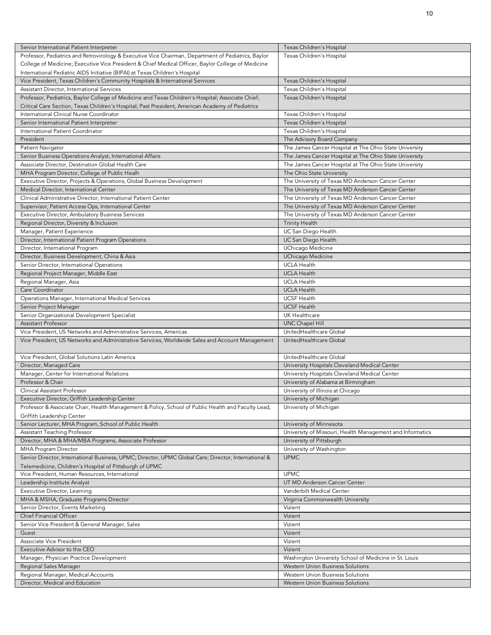| Senior International Patient Interpreter                                                             | Texas Children's Hospital                                 |
|------------------------------------------------------------------------------------------------------|-----------------------------------------------------------|
| Professor, Pediatrics and Retrovirology & Executive Vice Chairman, Department of Pediatrics, Baylor  | Texas Children's Hospital                                 |
| College of Medicine; Executive Vice President & Chief Medical Officer, Baylor College of Medicine    |                                                           |
|                                                                                                      |                                                           |
| International Pediatric AIDS Initiative (BIPAI) at Texas Children's Hospital                         |                                                           |
| Vice President, Texas Children's Community Hospitals & International Services                        | Texas Children's Hospital                                 |
| Assistant Director, International Services                                                           | Texas Children's Hospital                                 |
| Professor, Pediatrics, Baylor College of Medicine and Texas Children's Hospital; Associate Chief,    | Texas Children's Hospital                                 |
| Critical Care Section, Texas Children's Hospital; Past President, American Academy of Pediatrics     |                                                           |
| International Clinical Nurse Coordinator                                                             | Texas Children's Hospital                                 |
| Senior International Patient Interpreter                                                             | Texas Children's Hospital                                 |
| International Patient Coordinator                                                                    | Texas Children's Hospital                                 |
| President                                                                                            | The Advisory Board Company                                |
| Patient Navigator                                                                                    | The James Cancer Hospital at The Ohio State University    |
| Senior Business Operations Analyst, International Affairs                                            | The James Cancer Hospital at The Ohio State University    |
| Associate Director, Destination Global Health Care                                                   | The James Cancer Hospital at The Ohio State University    |
| MHA Program Director, College of Public Healh                                                        | The Ohio State University                                 |
| Executive Director, Projects & Operations, Global Business Development                               | The University of Texas MD Anderson Cancer Center         |
| Medical Director, International Center                                                               | The University of Texas MD Anderson Cancer Center         |
| Clinical Administrative Director, International Patient Center                                       | The University of Texas MD Anderson Cancer Center         |
| Supervisor, Patient Access Ops, International Center                                                 | The University of Texas MD Anderson Cancer Center         |
| Executive Director, Ambulatory Business Services                                                     | The University of Texas MD Anderson Cancer Center         |
| Regional Director, Diversity & Inclusion                                                             | <b>Trinity Health</b>                                     |
| Manager, Patient Experience                                                                          | UC San Diego Health                                       |
| Director, International Patient Program Operations                                                   | UC San Diego Health                                       |
| Director, International Program                                                                      | UChicago Medicine                                         |
|                                                                                                      |                                                           |
| Director, Business Development, China & Asia                                                         | UChicago Medicine                                         |
| Senior Director, International Operations                                                            | <b>UCLA Health</b>                                        |
| Regional Project Manager, Middle East                                                                | <b>UCLA Health</b>                                        |
| Regional Manager, Asia                                                                               | <b>UCLA Health</b>                                        |
| Care Coordinator                                                                                     | <b>UCLA Health</b>                                        |
| Operations Manager, International Medical Services                                                   | <b>UCSF Health</b>                                        |
| Senior Project Manager                                                                               | <b>UCSF Health</b>                                        |
| Senior Organizational Development Specialist                                                         | UK Healthcare                                             |
| <b>Assistant Professor</b>                                                                           | <b>UNC Chapel Hill</b>                                    |
| Vice President, US Networks and Administrative Services, Americas                                    | UnitedHealthcare Global                                   |
| Vice President, US Networks and Administrative Services, Worldwide Sales and Account Management      | UnitedHealthcare Global                                   |
|                                                                                                      |                                                           |
| Vice President, Global Solutions Latin America                                                       | UnitedHealthcare Global                                   |
| Director, Managed Care                                                                               | University Hospitals Cleveland Medical Center             |
| Manager, Center for International Relations                                                          | University Hospitals Cleveland Medical Center             |
| Professor & Chair                                                                                    | University of Alabama at Birmingham                       |
| Clinical Assistant Professor                                                                         | University of Illinois at Chicago                         |
| Executive Director, Griffith Leadership Center                                                       | University of Michigan                                    |
| Professor & Associate Chair, Health Management & Policy, School of Public Health and Faculty Lead,   | University of Michigan                                    |
| Griffith Leadership Center                                                                           |                                                           |
| Senior Lecturer, MHA Program, School of Public Health                                                | University of Minnesota                                   |
| Assistant Teaching Professor                                                                         | University of Missouri, Health Management and Informatics |
| Director, MHA & MHA/MBA Programs, Associate Professor                                                | University of Pittsburgh                                  |
| <b>MHA Program Director</b>                                                                          | University of Washington                                  |
| Senior Director, International Business, UPMC; Director, UPMC Global Care; Director, International & | <b>UPMC</b>                                               |
| Telemedicine, Children's Hospital of Pittsburgh of UPMC                                              |                                                           |
| Vice President, Human Resources, International                                                       | <b>UPMC</b>                                               |
| Leadership Institute Analyst                                                                         | UT MD Anderson Cancer Center                              |
| Executive Director, Learning                                                                         | Vanderbilt Medical Center                                 |
| MHA & MSHA, Graduate Programs Director                                                               | Virginia Commonwealth University                          |
| Senior Director, Events Marketing                                                                    | Vizient                                                   |
| Chief Financial Officer                                                                              | Vizient                                                   |
|                                                                                                      |                                                           |
| Senior Vice President & General Manager, Sales                                                       | Vizient                                                   |
| Guest                                                                                                | Vizient                                                   |
| Associate Vice President                                                                             | Vizient                                                   |
| Executive Advisor to the CEO                                                                         | Vizient                                                   |
| Manager, Physician Practice Development                                                              | Washington University School of Medicine in St. Louis     |
| Regional Sales Manager                                                                               | Western Union Business Solutions                          |
| Regional Manager, Medical Accounts                                                                   | Western Union Business Solutions                          |
| Director, Medical and Education                                                                      | Western Union Business Solutions                          |